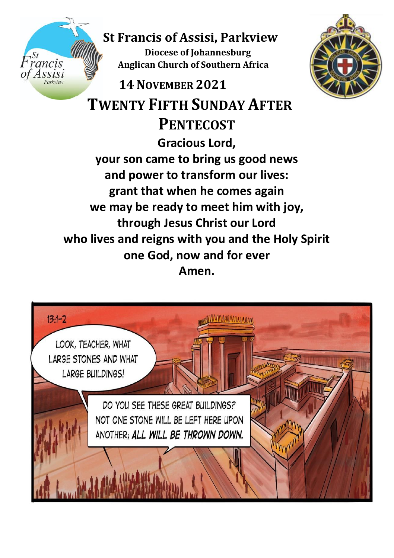# **St Francis of Assisi, Parkview Diocese of Johannesburg Anglican Church of Southern Africa**<br>Assisi



 **14NOVEMBER 2021 TWENTY FIFTH SUNDAY AFTER PENTECOST Gracious Lord, your son came to bring us good news and power to transform our lives: grant that when he comes again we may be ready to meet him with joy, through Jesus Christ our Lord who lives and reigns with you and the Holy Spirit one God, now and for ever**

# **Amen.**

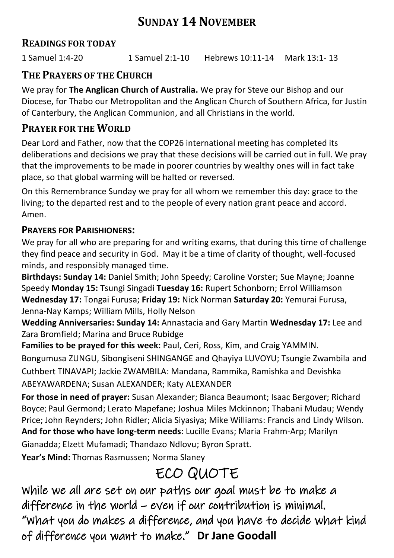## **READINGS FOR TODAY**

1 Samuel 1:4-20 1 Samuel 2:1-10 Hebrews 10:11-14 Mark 13:1- 13

## **THE PRAYERS OF THE CHURCH**

We pray for **The Anglican Church of Australia.** We pray for Steve our Bishop and our Diocese, for Thabo our Metropolitan and the Anglican Church of Southern Africa, for Justin of Canterbury, the Anglican Communion, and all Christians in the world.

## **PRAYER FOR THE WORLD**

Dear Lord and Father, now that the COP26 international meeting has completed its deliberations and decisions we pray that these decisions will be carried out in full. We pray that the improvements to be made in poorer countries by wealthy ones will in fact take place, so that global warming will be halted or reversed.

On this Remembrance Sunday we pray for all whom we remember this day: grace to the living; to the departed rest and to the people of every nation grant peace and accord. Amen.

#### **PRAYERS FOR PARISHIONERS:**

We pray for all who are preparing for and writing exams, that during this time of challenge they find peace and security in God. May it be a time of clarity of thought, well-focused minds, and responsibly managed time.

**Birthdays: Sunday 14:** Daniel Smith; John Speedy; Caroline Vorster; Sue Mayne; Joanne Speedy **Monday 15:** Tsungi Singadi **Tuesday 16:** Rupert Schonborn; Errol Williamson **Wednesday 17:** Tongai Furusa; **Friday 19:** Nick Norman **Saturday 20:** Yemurai Furusa, Jenna-Nay Kamps; William Mills, Holly Nelson

**Wedding Anniversaries: Sunday 14:** Annastacia and Gary Martin **Wednesday 17:** Lee and Zara Bromfield; Marina and Bruce Rubidge

**Families to be prayed for this week:** Paul, Ceri, Ross, Kim, and Craig YAMMIN. Bongumusa ZUNGU, Sibongiseni SHINGANGE and Qhayiya LUVOYU; Tsungie Zwambila and Cuthbert TINAVAPI; Jackie ZWAMBILA: Mandana, Rammika, Ramishka and Devishka ABEYAWARDENA; Susan ALEXANDER; Katy ALEXANDER

**For those in need of prayer:** Susan Alexander; Bianca Beaumont; Isaac Bergover; Richard Boyce; Paul Germond; Lerato Mapefane; Joshua Miles Mckinnon; Thabani Mudau; Wendy Price; John Reynders; John Ridler; Alicia Siyasiya; Mike Williams: Francis and Lindy Wilson. **And for those who have long-term needs**: Lucille Evans; Maria Frahm-Arp; Marilyn

Gianadda; Elzett Mufamadi; Thandazo Ndlovu; Byron Spratt.

**Year's Mind:** Thomas Rasmussen; Norma Slaney

# ECO QUOTE

While we all are set on our paths our goal must be to make a difference in the world – even if our contribution is minimal. "What you do makes a difference, and you have to decide what kind of difference you want to make." **Dr Jane Goodall**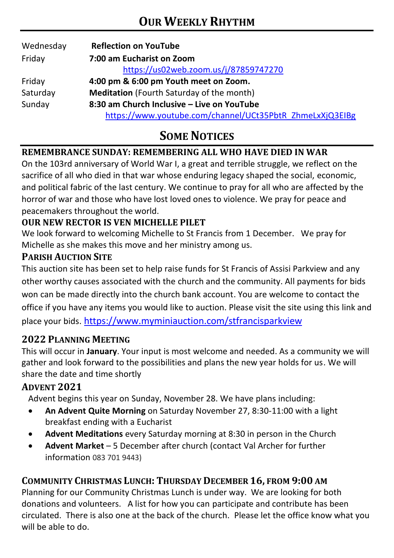| Wednesday | <b>Reflection on YouTube</b>                             |  |  |  |
|-----------|----------------------------------------------------------|--|--|--|
| Friday    | 7:00 am Eucharist on Zoom                                |  |  |  |
|           | https://us02web.zoom.us/j/87859747270                    |  |  |  |
| Friday    | 4:00 pm & 6:00 pm Youth meet on Zoom.                    |  |  |  |
| Saturday  | <b>Meditation</b> (Fourth Saturday of the month)         |  |  |  |
| Sunday    | 8:30 am Church Inclusive - Live on YouTube               |  |  |  |
|           | https://www.youtube.com/channel/UCt35PbtR ZhmeLxXjQ3EIBg |  |  |  |

# **SOME NOTICES**

#### **REMEMBRANCE SUNDAY: REMEMBERING ALL WHO HAVE DIED IN WAR**

On the 103rd anniversary of World War I, a great and terrible struggle, we reflect on the sacrifice of all who died in that war whose enduring legacy shaped the social, economic, and political fabric of the last century. We continue to pray for all who are affected by the horror of war and those who have lost loved ones to violence. We pray for peace and peacemakers throughout the world.

#### **OUR NEW RECTOR IS VEN MICHELLE PILET**

We look forward to welcoming Michelle to St Francis from 1 December. We pray for Michelle as she makes this move and her ministry among us.

#### **PARISH AUCTION SITE**

This auction site has been set to help raise funds for St Francis of Assisi Parkview and any other worthy causes associated with the church and the community. All payments for bids won can be made directly into the church bank account. You are welcome to contact the office if you have any items you would like to auction. Please visit the site using this link and place your bids. <https://www.myminiauction.com/stfrancisparkview>

#### **2022 PLANNING MEETING**

This will occur in **January**. Your input is most welcome and needed. As a community we will gather and look forward to the possibilities and plans the new year holds for us. We will share the date and time shortly

#### **ADVENT 2021**

Advent begins this year on Sunday, November 28. We have plans including:

- **An Advent Quite Morning** on Saturday November 27, 8:30-11:00 with a light breakfast ending with a Eucharist
- **Advent Meditations** every Saturday morning at 8:30 in person in the Church
- **Advent Market**  5 December after church (contact Val Archer for further information 083 701 9443)

#### **COMMUNITY CHRISTMAS LUNCH: THURSDAY DECEMBER 16, FROM 9:00 AM**

Planning for our Community Christmas Lunch is under way. We are looking for both donations and volunteers. A list for how you can participate and contribute has been circulated. There is also one at the back of the church. Please let the office know what you will be able to do.